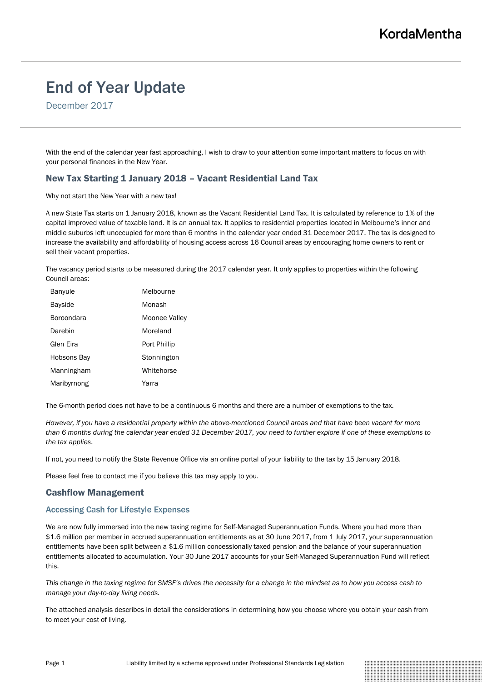# End of Year Update

December 2017

With the end of the calendar year fast approaching, I wish to draw to your attention some important matters to focus on with your personal finances in the New Year.

# New Tax Starting 1 January 2018 – Vacant Residential Land Tax

### Why not start the New Year with a new tax!

A new State Tax starts on 1 January 2018, known as the Vacant Residential Land Tax. It is calculated by reference to 1% of the capital improved value of taxable land. It is an annual tax. It applies to residential properties located in Melbourne's inner and middle suburbs left unoccupied for more than 6 months in the calendar year ended 31 December 2017. The tax is designed to increase the availability and affordability of housing access across 16 Council areas by encouraging home owners to rent or sell their vacant properties.

The vacancy period starts to be measured during the 2017 calendar year. It only applies to properties within the following Council areas:

| Banyule           | Melbourne     |
|-------------------|---------------|
| <b>Bayside</b>    | Monash        |
| <b>Boroondara</b> | Moonee Valley |
| Darebin           | Moreland      |
| Glen Eira         | Port Phillip  |
| Hobsons Bay       | Stonnington   |
| Manningham        | Whitehorse    |
| Maribyrnong       | Yarra         |

The 6-month period does not have to be a continuous 6 months and there are a number of exemptions to the tax.

*However, if you have a residential property within the above-mentioned Council areas and that have been vacant for more than 6 months during the calendar year ended 31 December 2017, you need to further explore if one of these exemptions to the tax applies*.

If not, you need to notify the State Revenue Office via an online portal of your liability to the tax by 15 January 2018.

Please feel free to contact me if you believe this tax may apply to you.

## Cashflow Management

#### Accessing Cash for Lifestyle Expenses

We are now fully immersed into the new taxing regime for Self-Managed Superannuation Funds. Where you had more than \$1.6 million per member in accrued superannuation entitlements as at 30 June 2017, from 1 July 2017, your superannuation entitlements have been split between a \$1.6 million concessionally taxed pension and the balance of your superannuation entitlements allocated to accumulation. Your 30 June 2017 accounts for your Self-Managed Superannuation Fund will reflect this.

*This change in the taxing regime for SMSF's drives the necessity for a change in the mindset as to how you access cash to manage your day-to-day living needs.*

The attached analysis describes in detail the considerations in determining how you choose where you obtain your cash from to meet your cost of living.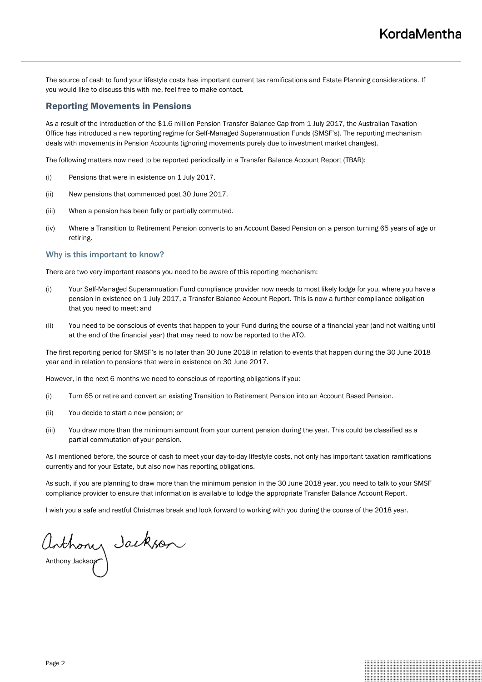The source of cash to fund your lifestyle costs has important current tax ramifications and Estate Planning considerations. If you would like to discuss this with me, feel free to make contact.

## Reporting Movements in Pensions

As a result of the introduction of the \$1.6 million Pension Transfer Balance Cap from 1 July 2017, the Australian Taxation Office has introduced a new reporting regime for Self-Managed Superannuation Funds (SMSF's). The reporting mechanism deals with movements in Pension Accounts (ignoring movements purely due to investment market changes).

The following matters now need to be reported periodically in a Transfer Balance Account Report (TBAR):

- (i) Pensions that were in existence on 1 July 2017.
- (ii) New pensions that commenced post 30 June 2017.
- (iii) When a pension has been fully or partially commuted.
- (iv) Where a Transition to Retirement Pension converts to an Account Based Pension on a person turning 65 years of age or retiring.

#### Why is this important to know?

There are two very important reasons you need to be aware of this reporting mechanism:

- (i) Your Self-Managed Superannuation Fund compliance provider now needs to most likely lodge for you, where you have a pension in existence on 1 July 2017, a Transfer Balance Account Report. This is now a further compliance obligation that you need to meet; and
- (ii) You need to be conscious of events that happen to your Fund during the course of a financial year (and not waiting until at the end of the financial year) that may need to now be reported to the ATO.

The first reporting period for SMSF's is no later than 30 June 2018 in relation to events that happen during the 30 June 2018 year and in relation to pensions that were in existence on 30 June 2017.

However, in the next 6 months we need to conscious of reporting obligations if you:

- (i) Turn 65 or retire and convert an existing Transition to Retirement Pension into an Account Based Pension.
- (ii) You decide to start a new pension; or
- (iii) You draw more than the minimum amount from your current pension during the year. This could be classified as a partial commutation of your pension.

As I mentioned before, the source of cash to meet your day-to-day lifestyle costs, not only has important taxation ramifications currently and for your Estate, but also now has reporting obligations.

As such, if you are planning to draw more than the minimum pension in the 30 June 2018 year, you need to talk to your SMSF compliance provider to ensure that information is available to lodge the appropriate Transfer Balance Account Report.

I wish you a safe and restful Christmas break and look forward to working with you during the course of the 2018 year.

Anthony Jackson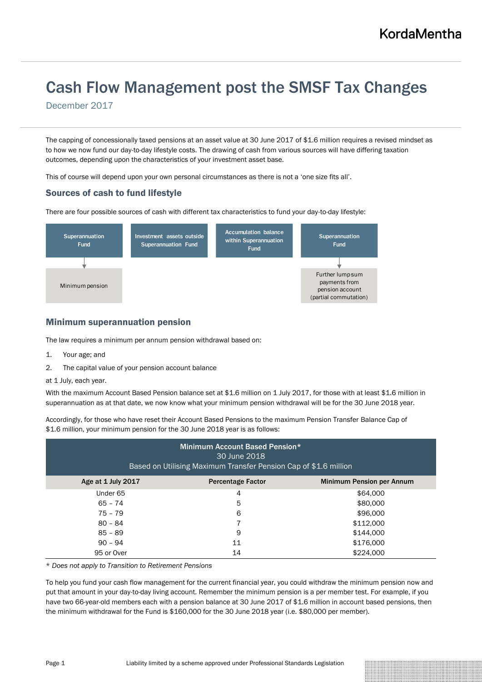# Cash Flow Management post the SMSF Tax Changes

December 2017

The capping of concessionally taxed pensions at an asset value at 30 June 2017 of \$1.6 million requires a revised mindset as to how we now fund our day-to-day lifestyle costs. The drawing of cash from various sources will have differing taxation outcomes, depending upon the characteristics of your investment asset base.

This of course will depend upon your own personal circumstances as there is not a 'one size fits all'.

# Sources of cash to fund lifestyle

There are four possible sources of cash with different tax characteristics to fund your day-to-day lifestyle:



## Minimum superannuation pension

The law requires a minimum per annum pension withdrawal based on:

- 1. Your age; and
- 2. The capital value of your pension account balance
- at 1 July, each year.

With the maximum Account Based Pension balance set at \$1.6 million on 1 July 2017, for those with at least \$1.6 million in superannuation as at that date, we now know what your minimum pension withdrawal will be for the 30 June 2018 year.

Accordingly, for those who have reset their Account Based Pensions to the maximum Pension Transfer Balance Cap of \$1.6 million, your minimum pension for the 30 June 2018 year is as follows:

| Minimum Account Based Pension*<br>30 June 2018<br>Based on Utilising Maximum Transfer Pension Cap of \$1.6 million |                          |                                  |
|--------------------------------------------------------------------------------------------------------------------|--------------------------|----------------------------------|
| Age at 1 July 2017                                                                                                 | <b>Percentage Factor</b> | <b>Minimum Pension per Annum</b> |
| Under 65                                                                                                           | 4                        | \$64,000                         |
| $65 - 74$                                                                                                          | 5                        | \$80,000                         |
| $75 - 79$                                                                                                          | 6                        | \$96,000                         |
| $80 - 84$                                                                                                          |                          | \$112,000                        |
| $85 - 89$                                                                                                          | 9                        | \$144,000                        |
| $90 - 94$                                                                                                          | 11                       | \$176,000                        |
| 95 or Over                                                                                                         | 14                       | \$224,000                        |

\* *Does not apply to Transition to Retirement Pensions*

To help you fund your cash flow management for the current financial year, you could withdraw the minimum pension now and put that amount in your day-to-day living account. Remember the minimum pension is a per member test. For example, if you have two 66-year-old members each with a pension balance at 30 June 2017 of \$1.6 million in account based pensions, then the minimum withdrawal for the Fund is \$160,000 for the 30 June 2018 year (i.e. \$80,000 per member).